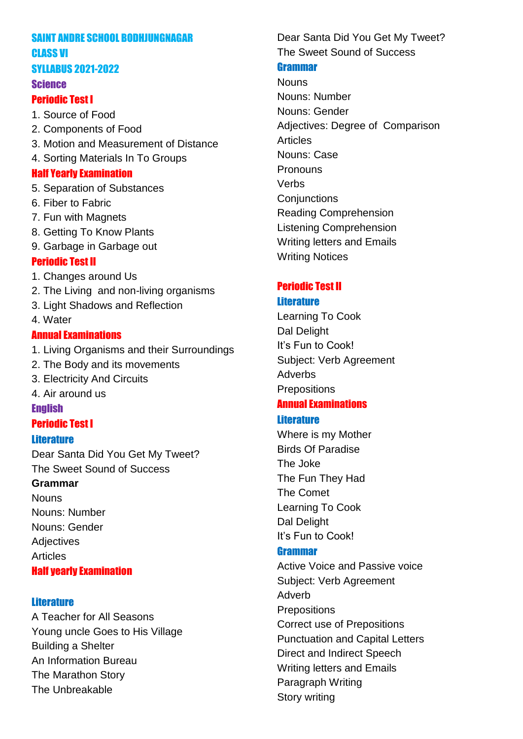#### SAINT ANDRE SCHOOL BODHJUNGNAGAR CLASS VI

### SYLLABUS 2021-2022

#### Science

### Periodic Test I

- 1. Source of Food
- 2. Components of Food
- 3. Motion and Measurement of Distance
- 4. Sorting Materials In To Groups

## Half Yearly Examination

- 5. Separation of Substances
- 6. Fiber to Fabric
- 7. Fun with Magnets
- 8. Getting To Know Plants
- 9. Garbage in Garbage out

## Periodic Test II

- 1. Changes around Us
- 2. The Living and non-living organisms
- 3. Light Shadows and Reflection
- 4. Water

## Annual Examinations

- 1. Living Organisms and their Surroundings
- 2. The Body and its movements
- 3. Electricity And Circuits
- 4. Air around us

#### **English**

## Periodic Test I

#### **Literature**

Dear Santa Did You Get My Tweet? The Sweet Sound of Success

#### **Grammar**

**Nouns** Nouns: Number Nouns: Gender **Adjectives** Articles

## Half yearly Examination

## **Literature**

A Teacher for All Seasons Young uncle Goes to His Village Building a Shelter An Information Bureau The Marathon Story The Unbreakable

Dear Santa Did You Get My Tweet? The Sweet Sound of Success

#### Grammar

Nouns Nouns: Number Nouns: Gender Adjectives: Degree of Comparison Articles Nouns: Case Pronouns Verbs **Conjunctions** Reading Comprehension Listening Comprehension Writing letters and Emails Writing Notices

# Periodic Test II

### **Literature**

Learning To Cook Dal Delight It's Fun to Cook! Subject: Verb Agreement Adverbs **Prepositions** 

# Annual Examinations

## **Literature**

Where is my Mother Birds Of Paradise The Joke The Fun They Had The Comet Learning To Cook Dal Delight It's Fun to Cook!

## Grammar

Active Voice and Passive voice Subject: Verb Agreement Adverb **Prepositions** Correct use of Prepositions Punctuation and Capital Letters Direct and Indirect Speech Writing letters and Emails Paragraph Writing Story writing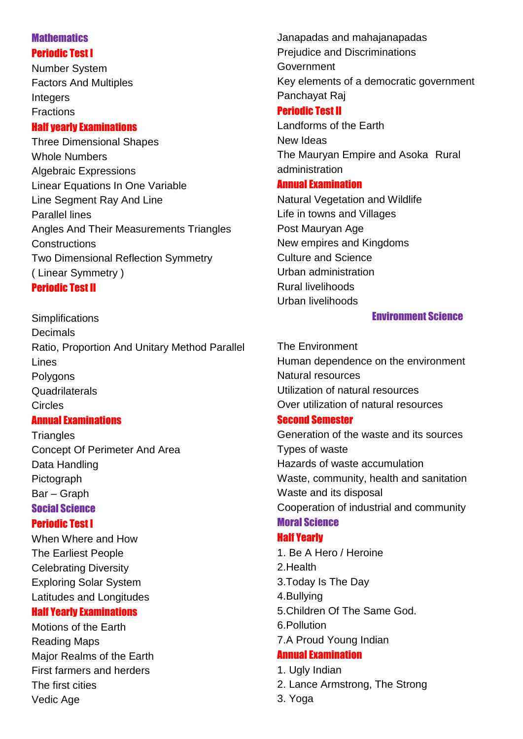## **Mathematics** Periodic Test I

Number System Factors And Multiples Integers Fractions

## Half yearly Examinations

Three Dimensional Shapes Whole Numbers Algebraic Expressions Linear Equations In One Variable Line Segment Ray And Line Parallel lines Angles And Their Measurements Triangles **Constructions** Two Dimensional Reflection Symmetry ( Linear Symmetry )

## Periodic Test II

**Simplifications Decimals** Ratio, Proportion And Unitary Method Parallel Lines Polygons **Quadrilaterals** Circles Annual Examinations

**Triangles** Concept Of Perimeter And Area Data Handling Pictograph Bar – Graph Social Science

## Periodic Test I

When Where and How The Earliest People Celebrating Diversity Exploring Solar System Latitudes and Longitudes

#### Half Yearly Examinations

Motions of the Earth Reading Maps Major Realms of the Earth First farmers and herders The first cities Vedic Age

Janapadas and mahajanapadas Prejudice and Discriminations Government Key elements of a democratic government Panchayat Raj

## Periodic Test II

Landforms of the Earth New Ideas The Mauryan Empire and Asoka Rural administration

## Annual Examination

Natural Vegetation and Wildlife Life in towns and Villages Post Mauryan Age New empires and Kingdoms Culture and Science Urban administration Rural livelihoods Urban livelihoods

### Environment Science

The Environment Human dependence on the environment Natural resources Utilization of natural resources Over utilization of natural resources

## Second Semester

Generation of the waste and its sources Types of waste Hazards of waste accumulation Waste, community, health and sanitation Waste and its disposal Cooperation of industrial and community Moral Science

## Half Yearly

- 1. Be A Hero / Heroine 2.Health
- 3.Today Is The Day
- 4.Bullying
- 5.Children Of The Same God.
- 6.Pollution
- 7.A Proud Young Indian

# Annual Examination

- 1. Ugly Indian
- 2. Lance Armstrong, The Strong
- 3. Yoga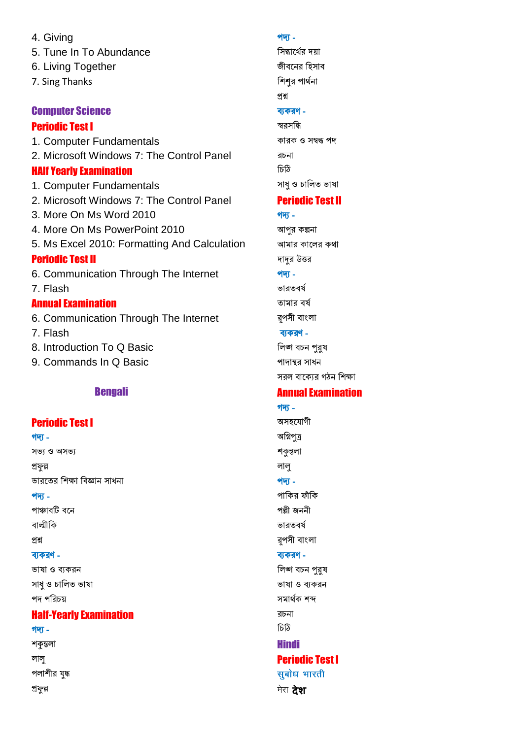4. Giving 5. Tune In To Abundance 6. Living Together 7. Sing Thanks

#### **Computer Science**

#### **Periodic Test I**

1. Computer Fundamentals 2. Microsoft Windows 7: The Control Panel **HAIf Yearly Examination** 

1. Computer Fundamentals

- 2. Microsoft Windows 7: The Control Panel
- 3. More On Ms Word 2010
- 4. More On Ms PowerPoint 2010
- 5. Ms Excel 2010: Formatting And Calculation

#### **Periodic Test II**

6. Communication Through The Internet

7. Flash

#### **Annual Examination**

- 6. Communication Through The Internet 7 Flash
- 8. Introduction To Q Basic
- 9. Commands In Q Basic

#### **Bengali**

#### **Periodic Test I**

#### <u> शे</u>षा -

সভ্য ও অসভ্য

প্ৰফল্প

ভারতের শিক্ষা বিজ্ঞান সাধনা

#### <u> श्रेण -</u>

পাঞ্চাবটি বনে

বাল্মীকি

#### প্ৰশ্ন

#### ব্যকরণ -

ভাষা ও ব্যকরন সাধ ও চালিত ভাষা পদ পরিচয়

#### **Half-Yearly Examination**

<u> शेषा</u> -শকুন্তলা লালু পলাশীর যুদ্ধ প্ৰফল্ল

#### शेषा -

সিদ্ধার্থের দয়া জীবনের হিসাব শিশুর পার্থনা প্ৰশ্ন ব্যকরণ -স্বরসন্ধি কারক ও সম্বন্ধ পদ

রচনা চিঠি সাধু ও চালিত ভাষা

## **Periodic Test II**

<u> शेषा -</u> আপর কল্পনা আমার কালের কথা দাদুর উত্তর शेषु -

ভারতবর্ষ তামার বর্ষ রপসী বাংলা

#### ব্যকরণ -

লিঙ্গ বচন পুরুষ পাদান্থর সাধন সরল বাক্যের গঠন শিক্ষা

## **Annual Examination**

# <u> शेखा -</u> অসহযোগী অগ্নিপুত্র শকুন্তলা লাল <u> श्रेषा -</u> পাকির ফাঁকি পল্লী জননী ভারতবর্ষ রপসী বাংলা ব্যকরণ -লিঙ্গ বচন পুরুষ ভাষা ও ব্যকরন সমাৰ্থক শব্দ রচনা চিঠি **Hindi Periodic Test I** सुबोध भारती

मेरा **टेश**